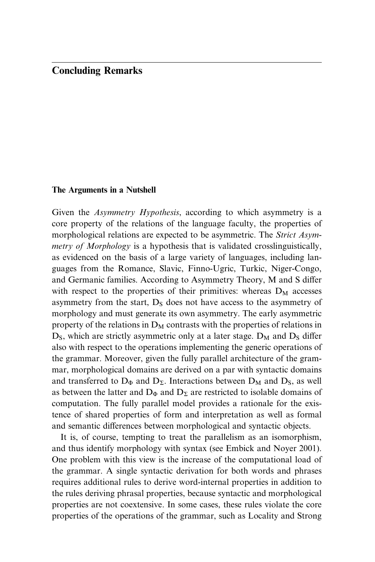## Concluding Remarks

## The Arguments in a Nutshell

Given the Asymmetry Hypothesis, according to which asymmetry is a core property of the relations of the language faculty, the properties of morphological relations are expected to be asymmetric. The Strict Asymmetry of Morphology is a hypothesis that is validated crosslinguistically, as evidenced on the basis of a large variety of languages, including languages from the Romance, Slavic, Finno-Ugric, Turkic, Niger-Congo, and Germanic families. According to Asymmetry Theory, M and S differ with respect to the properties of their primitives: whereas  $D_M$  accesses asymmetry from the start,  $D_s$  does not have access to the asymmetry of morphology and must generate its own asymmetry. The early asymmetric property of the relations in  $D_M$  contrasts with the properties of relations in  $D<sub>S</sub>$ , which are strictly asymmetric only at a later stage.  $D<sub>M</sub>$  and  $D<sub>S</sub>$  differ also with respect to the operations implementing the generic operations of the grammar. Moreover, given the fully parallel architecture of the grammar, morphological domains are derived on a par with syntactic domains and transferred to  $D_{\Phi}$  and  $D_{\Sigma}$ . Interactions between  $D_{\rm M}$  and  $D_{\rm S}$ , as well as between the latter and  $D_{\Phi}$  and  $D_{\Sigma}$  are restricted to isolable domains of computation. The fully parallel model provides a rationale for the existence of shared properties of form and interpretation as well as formal and semantic differences between morphological and syntactic objects.

It is, of course, tempting to treat the parallelism as an isomorphism, and thus identify morphology with syntax (see Embick and Noyer 2001). One problem with this view is the increase of the computational load of [the grammar. A single syntactic derivation for both words and phrases](#page--1-0) requires additional rules to derive word-internal properties in addition to the rules deriving phrasal properties, because syntactic and morphological properties are not coextensive. In some cases, these rules violate the core properties of the operations of the grammar, such as Locality and Strong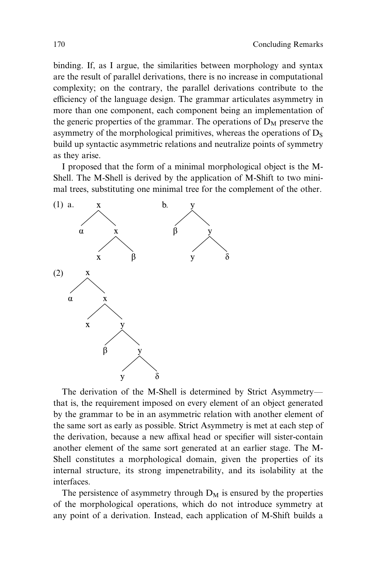binding. If, as I argue, the similarities between morphology and syntax are the result of parallel derivations, there is no increase in computational complexity; on the contrary, the parallel derivations contribute to the efficiency of the language design. The grammar articulates asymmetry in more than one component, each component being an implementation of the generic properties of the grammar. The operations of  $D_M$  preserve the asymmetry of the morphological primitives, whereas the operations of  $D_s$ build up syntactic asymmetric relations and neutralize points of symmetry as they arise.

I proposed that the form of a minimal morphological object is the M-Shell. The M-Shell is derived by the application of M-Shift to two minimal trees, substituting one minimal tree for the complement of the other.



The derivation of the M-Shell is determined by Strict Asymmetry that is, the requirement imposed on every element of an object generated by the grammar to be in an asymmetric relation with another element of the same sort as early as possible. Strict Asymmetry is met at each step of the derivation, because a new affixal head or specifier will sister-contain another element of the same sort generated at an earlier stage. The M-Shell constitutes a morphological domain, given the properties of its internal structure, its strong impenetrability, and its isolability at the interfaces.

The persistence of asymmetry through  $D_M$  is ensured by the properties of the morphological operations, which do not introduce symmetry at any point of a derivation. Instead, each application of M-Shift builds a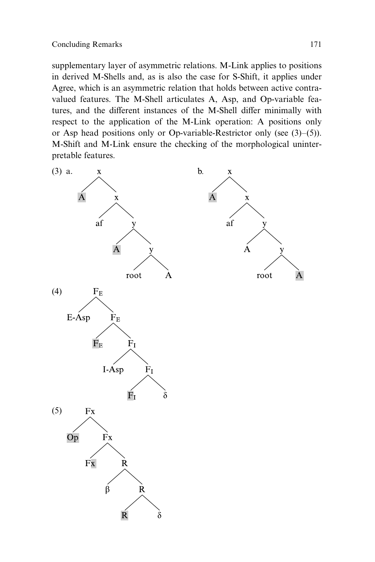supplementary layer of asymmetric relations. M-Link applies to positions in derived M-Shells and, as is also the case for S-Shift, it applies under Agree, which is an asymmetric relation that holds between active contravalued features. The M-Shell articulates A, Asp, and Op-variable features, and the different instances of the M-Shell differ minimally with respect to the application of the M-Link operation: A positions only or Asp head positions only or Op-variable-Restrictor only (see (3)–(5)). M-Shift and M-Link ensure the checking of the morphological uninterpretable features.

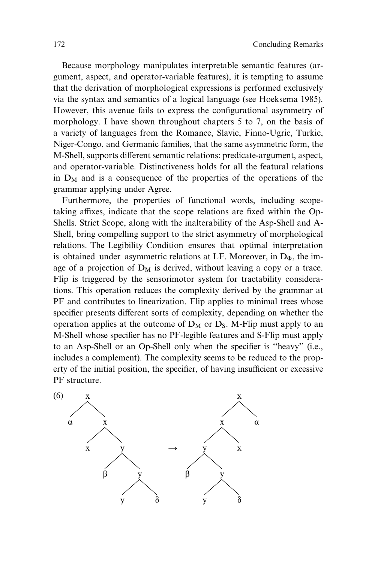Because morphology manipulates interpretable semantic features (argument, aspect, and operator-variable features), it is tempting to assume that the derivation of morphological expressions is performed exclusively via the syntax and semantics of a logical language (see Hoeksema 1985). However, this avenue fails to express the configurational asymmetry of morphology. I have shown throughout chapters 5 to 7, on the basis of a variety of languages from the Romance, Slavic, Finno-Ugric, Turkic, Niger-Congo, and Germanic families, that the same asymmetric form, the M-Shell, supports different semantic relations: predicate-argument, aspect, and operator-variable. Distinctiveness holds for all the featural relations in  $D_M$  and is a consequence of the properties of the operations of the grammar applying under Agree.

Furthermore, the properties of functional words, including scopetaking affixes, indicate that the scope relations are fixed within the Op-Shells. Strict Scope, along with the inalterability of the Asp-Shell and A-Shell, bring compelling support to the strict asymmetry of morphological relations. The Legibility Condition ensures that optimal interpretation is obtained under asymmetric relations at LF. Moreover, in  $D_{\Phi}$ , the image of a projection of  $D_M$  is derived, without leaving a copy or a trace. Flip is triggered by the sensorimotor system for tractability considerations. This operation reduces the complexity derived by the grammar at PF and contributes to linearization. Flip applies to minimal trees whose specifier presents different sorts of complexity, depending on whether the operation applies at the outcome of  $D_M$  or  $D_S$ . M-Flip must apply to an M-Shell whose specifier has no PF-legible features and S-Flip must apply to an Asp-Shell or an Op-Shell only when the specifier is ''heavy'' (i.e., includes a complement). The complexity seems to be reduced to the property of the initial position, the specifier, of having insufficient or excessive PF structure.

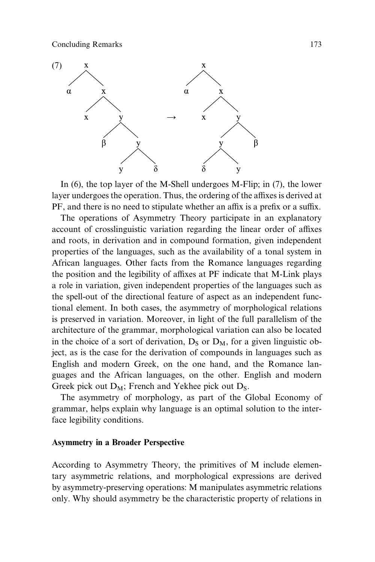

In (6), the top layer of the M-Shell undergoes M-Flip; in (7), the lower layer undergoes the operation. Thus, the ordering of the affixes is derived at PF, and there is no need to stipulate whether an affix is a prefix or a suffix.

The operations of Asymmetry Theory participate in an explanatory account of crosslinguistic variation regarding the linear order of affixes and roots, in derivation and in compound formation, given independent properties of the languages, such as the availability of a tonal system in African languages. Other facts from the Romance languages regarding the position and the legibility of affixes at PF indicate that M-Link plays a role in variation, given independent properties of the languages such as the spell-out of the directional feature of aspect as an independent functional element. In both cases, the asymmetry of morphological relations is preserved in variation. Moreover, in light of the full parallelism of the architecture of the grammar, morphological variation can also be located in the choice of a sort of derivation,  $D_S$  or  $D_M$ , for a given linguistic object, as is the case for the derivation of compounds in languages such as English and modern Greek, on the one hand, and the Romance languages and the African languages, on the other. English and modern Greek pick out  $D_M$ ; French and Yekhee pick out  $D_S$ .

The asymmetry of morphology, as part of the Global Economy of grammar, helps explain why language is an optimal solution to the interface legibility conditions.

## Asymmetry in a Broader Perspective

According to Asymmetry Theory, the primitives of M include elementary asymmetric relations, and morphological expressions are derived by asymmetry-preserving operations: M manipulates asymmetric relations only. Why should asymmetry be the characteristic property of relations in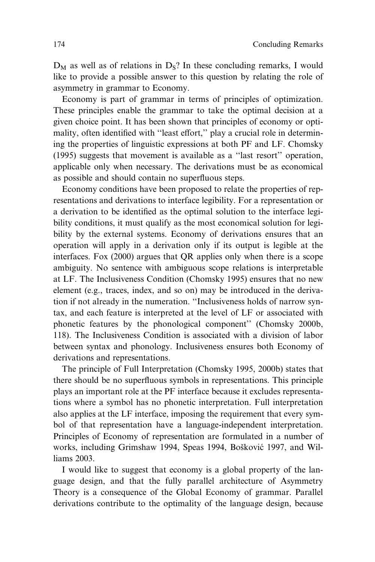$D_M$  as well as of relations in  $D_S$ ? In these concluding remarks, I would like to provide a possible answer to this question by relating the role of asymmetry in grammar to Economy.

Economy is part of grammar in terms of principles of optimization. These principles enable the grammar to take the optimal decision at a given choice point. It has been shown that principles of economy or optimality, often identified with "least effort," play a crucial role in determining the properties of linguistic expressions at both PF and LF. Chomsky (1995) suggests that movement is available as a ''last resort'' operation, applicable only when necessary. The derivations must be as economical as possible and should contain no superfluous steps.

Economy conditions have been proposed to relate the properties of representations and derivations to interface legibility. For a representation or a derivation to be identified as the optimal solution to the interface legibility conditions, it must qualify as the most economical solution for legibility by the external systems. Economy of derivations ensures that an operation will apply in a derivation only if its output is legible at the interfaces. Fox (2000) argues that QR applies only when there is a scope ambiguity. No sentence with ambiguous scope relations is interpretable at LF. The Inclusiveness Condition (Chomsky 1995) ensures that no new element (e.g., traces, index, and so on) may be introduced in the derivation if not already in the numeration. ''Inclusiveness holds of narrow syntax, and each feature is interpreted at the level of LF or associated with phonetic features by the phonological component'' (Chomsky 2000b, 118). The Inclusiveness Condition is associated with a division of labor between syntax and phonology. Inclusiveness ensures both Economy of derivations and representations.

The principle of Full Interpretation (Chomsky 1995, 2000b) states that there should be no superfluous symbols in representations. This principle plays an important role at the PF interface because it excludes representations where a symbol has no phonetic interpretation. Full interpretation also applies at the LF interface, imposing the requirement that every symbol of that representation have a language-independent interpretation. Principles of Economy of representation are formulated in a number of works, including Grimshaw 1994, Speas 1994, Bošković 1997, and Williams 2003.

I would like to suggest that economy is a global property of the language design, and that the fully parallel architecture of Asymmetry Theory is a consequence of the Global Economy of grammar. Parallel derivations contribute to the optimality of the language design, because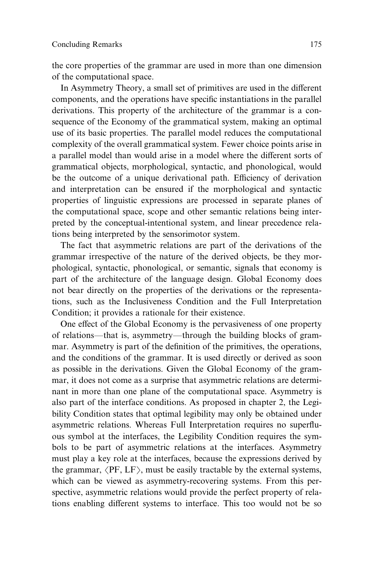the core properties of the grammar are used in more than one dimension of the computational space.

In Asymmetry Theory, a small set of primitives are used in the different components, and the operations have specific instantiations in the parallel derivations. This property of the architecture of the grammar is a consequence of the Economy of the grammatical system, making an optimal use of its basic properties. The parallel model reduces the computational complexity of the overall grammatical system. Fewer choice points arise in a parallel model than would arise in a model where the different sorts of grammatical objects, morphological, syntactic, and phonological, would be the outcome of a unique derivational path. Efficiency of derivation and interpretation can be ensured if the morphological and syntactic properties of linguistic expressions are processed in separate planes of the computational space, scope and other semantic relations being interpreted by the conceptual-intentional system, and linear precedence relations being interpreted by the sensorimotor system.

The fact that asymmetric relations are part of the derivations of the grammar irrespective of the nature of the derived objects, be they morphological, syntactic, phonological, or semantic, signals that economy is part of the architecture of the language design. Global Economy does not bear directly on the properties of the derivations or the representations, such as the Inclusiveness Condition and the Full Interpretation Condition; it provides a rationale for their existence.

One effect of the Global Economy is the pervasiveness of one property of relations—that is, asymmetry—through the building blocks of grammar. Asymmetry is part of the definition of the primitives, the operations, and the conditions of the grammar. It is used directly or derived as soon as possible in the derivations. Given the Global Economy of the grammar, it does not come as a surprise that asymmetric relations are determinant in more than one plane of the computational space. Asymmetry is also part of the interface conditions. As proposed in chapter 2, the Legibility Condition states that optimal legibility may only be obtained under asymmetric relations. Whereas Full Interpretation requires no superfluous symbol at the interfaces, the Legibility Condition requires the symbols to be part of asymmetric relations at the interfaces. Asymmetry must play a key role at the interfaces, because the expressions derived by the grammar,  $\langle PF, LF \rangle$ , must be easily tractable by the external systems, which can be viewed as asymmetry-recovering systems. From this perspective, asymmetric relations would provide the perfect property of relations enabling different systems to interface. This too would not be so